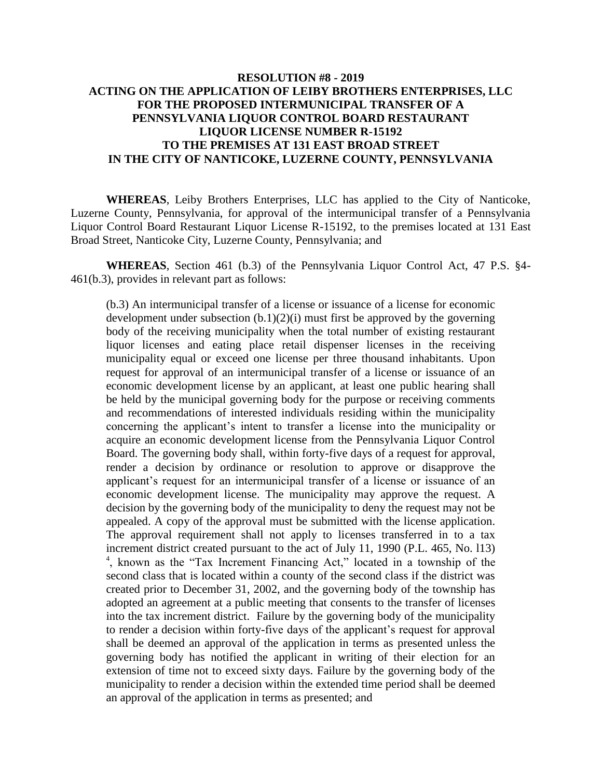## **RESOLUTION #8 - 2019 ACTING ON THE APPLICATION OF LEIBY BROTHERS ENTERPRISES, LLC FOR THE PROPOSED INTERMUNICIPAL TRANSFER OF A PENNSYLVANIA LIQUOR CONTROL BOARD RESTAURANT LIQUOR LICENSE NUMBER R-15192 TO THE PREMISES AT 131 EAST BROAD STREET IN THE CITY OF NANTICOKE, LUZERNE COUNTY, PENNSYLVANIA**

**WHEREAS**, Leiby Brothers Enterprises, LLC has applied to the City of Nanticoke, Luzerne County, Pennsylvania, for approval of the intermunicipal transfer of a Pennsylvania Liquor Control Board Restaurant Liquor License R-15192, to the premises located at 131 East Broad Street, Nanticoke City, Luzerne County, Pennsylvania; and

**WHEREAS**, Section 461 (b.3) of the Pennsylvania Liquor Control Act, 47 P.S. §4- 461(b.3), provides in relevant part as follows:

(b.3) An intermunicipal transfer of a license or issuance of a license for economic development under subsection  $(b.1)(2)(i)$  must first be approved by the governing body of the receiving municipality when the total number of existing restaurant liquor licenses and eating place retail dispenser licenses in the receiving municipality equal or exceed one license per three thousand inhabitants. Upon request for approval of an intermunicipal transfer of a license or issuance of an economic development license by an applicant, at least one public hearing shall be held by the municipal governing body for the purpose or receiving comments and recommendations of interested individuals residing within the municipality concerning the applicant's intent to transfer a license into the municipality or acquire an economic development license from the Pennsylvania Liquor Control Board. The governing body shall, within forty-five days of a request for approval, render a decision by ordinance or resolution to approve or disapprove the applicant's request for an intermunicipal transfer of a license or issuance of an economic development license. The municipality may approve the request. A decision by the governing body of the municipality to deny the request may not be appealed. A copy of the approval must be submitted with the license application. The approval requirement shall not apply to licenses transferred in to a tax increment district created pursuant to the act of July 11, 1990 (P.L. 465, No. l13) 4 , known as the "Tax Increment Financing Act," located in a township of the second class that is located within a county of the second class if the district was created prior to December 31, 2002, and the governing body of the township has adopted an agreement at a public meeting that consents to the transfer of licenses into the tax increment district. Failure by the governing body of the municipality to render a decision within forty-five days of the applicant's request for approval shall be deemed an approval of the application in terms as presented unless the governing body has notified the applicant in writing of their election for an extension of time not to exceed sixty days. Failure by the governing body of the municipality to render a decision within the extended time period shall be deemed an approval of the application in terms as presented; and